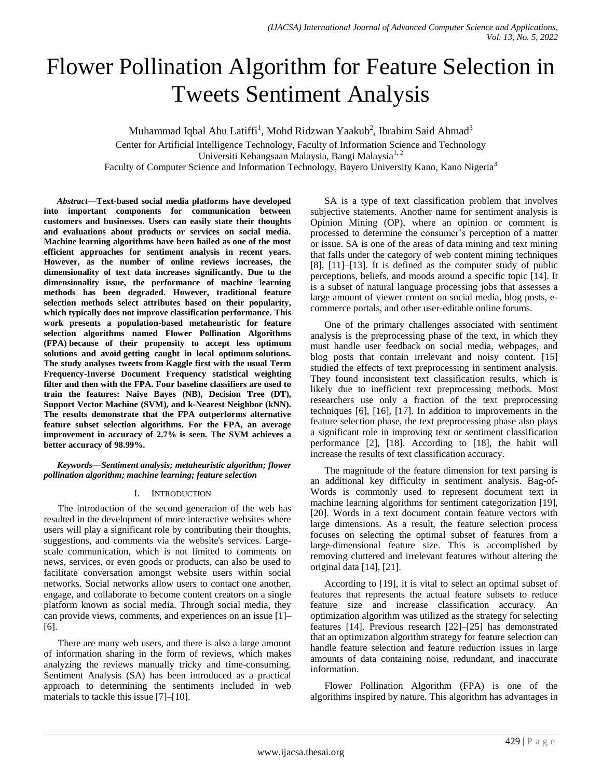# Flower Pollination Algorithm for Feature Selection in Tweets Sentiment Analysis

Muhammad Iqbal Abu Latiffi<sup>1</sup>, Mohd Ridzwan Yaakub<sup>2</sup>, Ibrahim Said Ahmad<sup>3</sup>

Center for Artificial Intelligence Technology, Faculty of Information Science and Technology Universiti Kebangsaan Malaysia, Bangi Malaysia<sup>1, 2</sup>

Faculty of Computer Science and Information Technology, Bayero University Kano, Kano Nigeria<sup>3</sup>

*Abstract***—Text-based social media platforms have developed into important components for communication between customers and businesses. Users can easily state their thoughts and evaluations about products or services on social media. Machine learning algorithms have been hailed as one of the most efficient approaches for sentiment analysis in recent years. However, as the number of online reviews increases, the dimensionality of text data increases significantly. Due to the dimensionality issue, the performance of machine learning methods has been degraded. However, traditional feature selection methods select attributes based on their popularity, which typically does not improve classification performance. This work presents a population-based metaheuristic for feature selection algorithms named Flower Pollination Algorithms (FPA) because of their propensity to accept less optimum solutions and avoid getting caught in local optimum solutions. The study analyses tweets from Kaggle first with the usual Term Frequency-Inverse Document Frequency statistical weighting filter and then with the FPA. Four baseline classifiers are used to train the features: Naive Bayes (NB), Decision Tree (DT), Support Vector Machine (SVM), and k-Nearest Neighbor (kNN). The results demonstrate that the FPA outperforms alternative feature subset selection algorithms. For the FPA, an average improvement in accuracy of 2.7% is seen. The SVM achieves a better accuracy of 98.99%.**

*Keywords—Sentiment analysis; metaheuristic algorithm; flower pollination algorithm; machine learning; feature selection*

## I. INTRODUCTION

The introduction of the second generation of the web has resulted in the development of more interactive websites where users will play a significant role by contributing their thoughts, suggestions, and comments via the website's services. Largescale communication, which is not limited to comments on news, services, or even goods or products, can also be used to facilitate conversation amongst website users within social networks. Social networks allow users to contact one another, engage, and collaborate to become content creators on a single platform known as social media. Through social media, they can provide views, comments, and experiences on an issue [1]– [6].

There are many web users, and there is also a large amount of information sharing in the form of reviews, which makes analyzing the reviews manually tricky and time-consuming. Sentiment Analysis (SA) has been introduced as a practical approach to determining the sentiments included in web materials to tackle this issue [7]–[10].

SA is a type of text classification problem that involves subjective statements. Another name for sentiment analysis is Opinion Mining (OP), where an opinion or comment is processed to determine the consumer's perception of a matter or issue. SA is one of the areas of data mining and text mining that falls under the category of web content mining techniques [8], [11]–[13]. It is defined as the computer study of public perceptions, beliefs, and moods around a specific topic [14]. It is a subset of natural language processing jobs that assesses a large amount of viewer content on social media, blog posts, ecommerce portals, and other user-editable online forums.

One of the primary challenges associated with sentiment analysis is the preprocessing phase of the text, in which they must handle user feedback on social media, webpages, and blog posts that contain irrelevant and noisy content. [15] studied the effects of text preprocessing in sentiment analysis. They found inconsistent text classification results, which is likely due to inefficient text preprocessing methods. Most researchers use only a fraction of the text preprocessing techniques [6], [16], [17]. In addition to improvements in the feature selection phase, the text preprocessing phase also plays a significant role in improving text or sentiment classification performance [2], [18]. According to [18], the habit will increase the results of text classification accuracy.

The magnitude of the feature dimension for text parsing is an additional key difficulty in sentiment analysis. Bag-of-Words is commonly used to represent document text in machine learning algorithms for sentiment categorization [19], [20]. Words in a text document contain feature vectors with large dimensions. As a result, the feature selection process focuses on selecting the optimal subset of features from a large-dimensional feature size. This is accomplished by removing cluttered and irrelevant features without altering the original data [14], [21].

According to [19], it is vital to select an optimal subset of features that represents the actual feature subsets to reduce feature size and increase classification accuracy. An optimization algorithm was utilized as the strategy for selecting features [14]. Previous research [22]–[25] has demonstrated that an optimization algorithm strategy for feature selection can handle feature selection and feature reduction issues in large amounts of data containing noise, redundant, and inaccurate information.

Flower Pollination Algorithm (FPA) is one of the algorithms inspired by nature. This algorithm has advantages in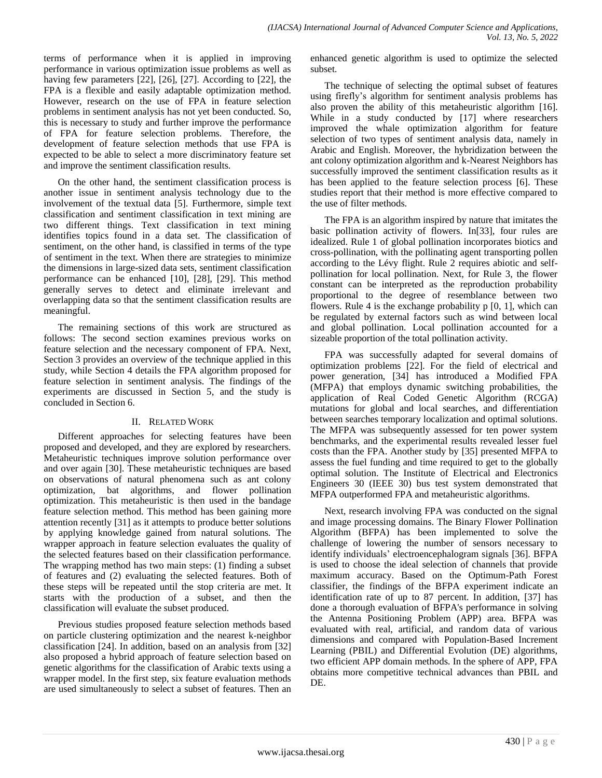terms of performance when it is applied in improving performance in various optimization issue problems as well as having few parameters [22], [26], [27]. According to [22], the FPA is a flexible and easily adaptable optimization method. However, research on the use of FPA in feature selection problems in sentiment analysis has not yet been conducted. So, this is necessary to study and further improve the performance of FPA for feature selection problems. Therefore, the development of feature selection methods that use FPA is expected to be able to select a more discriminatory feature set and improve the sentiment classification results.

On the other hand, the sentiment classification process is another issue in sentiment analysis technology due to the involvement of the textual data [5]. Furthermore, simple text classification and sentiment classification in text mining are two different things. Text classification in text mining identifies topics found in a data set. The classification of sentiment, on the other hand, is classified in terms of the type of sentiment in the text. When there are strategies to minimize the dimensions in large-sized data sets, sentiment classification performance can be enhanced [10], [28], [29]. This method generally serves to detect and eliminate irrelevant and overlapping data so that the sentiment classification results are meaningful.

The remaining sections of this work are structured as follows: The second section examines previous works on feature selection and the necessary component of FPA. Next, Section 3 provides an overview of the technique applied in this study, while Section 4 details the FPA algorithm proposed for feature selection in sentiment analysis. The findings of the experiments are discussed in Section 5, and the study is concluded in Section 6.

# II. RELATED WORK

Different approaches for selecting features have been proposed and developed, and they are explored by researchers. Metaheuristic techniques improve solution performance over and over again [30]. These metaheuristic techniques are based on observations of natural phenomena such as ant colony optimization, bat algorithms, and flower pollination optimization. This metaheuristic is then used in the bandage feature selection method. This method has been gaining more attention recently [31] as it attempts to produce better solutions by applying knowledge gained from natural solutions. The wrapper approach in feature selection evaluates the quality of the selected features based on their classification performance. The wrapping method has two main steps: (1) finding a subset of features and (2) evaluating the selected features. Both of these steps will be repeated until the stop criteria are met. It starts with the production of a subset, and then the classification will evaluate the subset produced.

Previous studies proposed feature selection methods based on particle clustering optimization and the nearest k-neighbor classification [24]. In addition, based on an analysis from [32] also proposed a hybrid approach of feature selection based on genetic algorithms for the classification of Arabic texts using a wrapper model. In the first step, six feature evaluation methods are used simultaneously to select a subset of features. Then an enhanced genetic algorithm is used to optimize the selected subset.

The technique of selecting the optimal subset of features using firefly's algorithm for sentiment analysis problems has also proven the ability of this metaheuristic algorithm [16]. While in a study conducted by [17] where researchers improved the whale optimization algorithm for feature selection of two types of sentiment analysis data, namely in Arabic and English. Moreover, the hybridization between the ant colony optimization algorithm and k-Nearest Neighbors has successfully improved the sentiment classification results as it has been applied to the feature selection process [6]. These studies report that their method is more effective compared to the use of filter methods.

The FPA is an algorithm inspired by nature that imitates the basic pollination activity of flowers. In[33], four rules are idealized. Rule 1 of global pollination incorporates biotics and cross-pollination, with the pollinating agent transporting pollen according to the Lévy flight. Rule 2 requires abiotic and selfpollination for local pollination. Next, for Rule 3, the flower constant can be interpreted as the reproduction probability proportional to the degree of resemblance between two flowers. Rule 4 is the exchange probability  $p$  [0, 1], which can be regulated by external factors such as wind between local and global pollination. Local pollination accounted for a sizeable proportion of the total pollination activity.

FPA was successfully adapted for several domains of optimization problems [22]. For the field of electrical and power generation, [34] has introduced a Modified FPA (MFPA) that employs dynamic switching probabilities, the application of Real Coded Genetic Algorithm (RCGA) mutations for global and local searches, and differentiation between searches temporary localization and optimal solutions. The MFPA was subsequently assessed for ten power system benchmarks, and the experimental results revealed lesser fuel costs than the FPA. Another study by [35] presented MFPA to assess the fuel funding and time required to get to the globally optimal solution. The Institute of Electrical and Electronics Engineers 30 (IEEE 30) bus test system demonstrated that MFPA outperformed FPA and metaheuristic algorithms.

Next, research involving FPA was conducted on the signal and image processing domains. The Binary Flower Pollination Algorithm (BFPA) has been implemented to solve the challenge of lowering the number of sensors necessary to identify individuals' electroencephalogram signals [36]. BFPA is used to choose the ideal selection of channels that provide maximum accuracy. Based on the Optimum-Path Forest classifier, the findings of the BFPA experiment indicate an identification rate of up to 87 percent. In addition, [37] has done a thorough evaluation of BFPA's performance in solving the Antenna Positioning Problem (APP) area. BFPA was evaluated with real, artificial, and random data of various dimensions and compared with Population-Based Increment Learning (PBIL) and Differential Evolution (DE) algorithms, two efficient APP domain methods. In the sphere of APP, FPA obtains more competitive technical advances than PBIL and DE.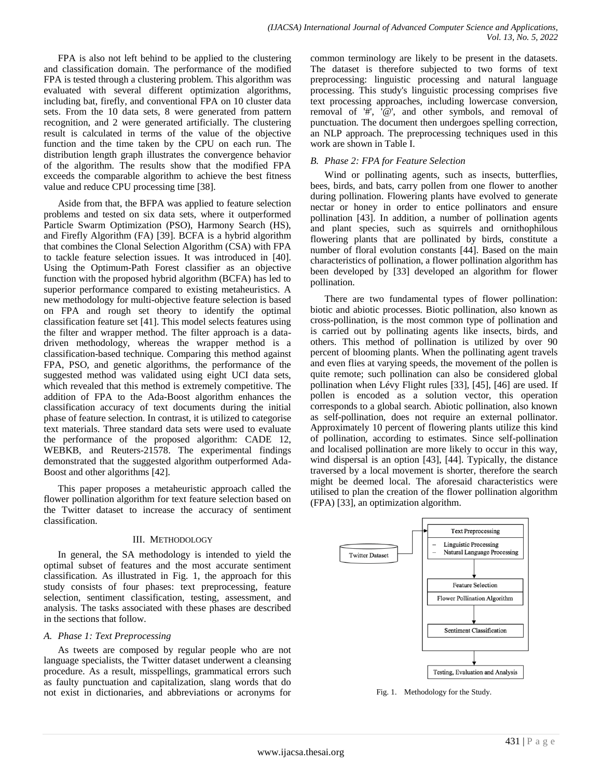FPA is also not left behind to be applied to the clustering and classification domain. The performance of the modified FPA is tested through a clustering problem. This algorithm was evaluated with several different optimization algorithms, including bat, firefly, and conventional FPA on 10 cluster data sets. From the 10 data sets, 8 were generated from pattern recognition, and 2 were generated artificially. The clustering result is calculated in terms of the value of the objective function and the time taken by the CPU on each run. The distribution length graph illustrates the convergence behavior of the algorithm. The results show that the modified FPA exceeds the comparable algorithm to achieve the best fitness value and reduce CPU processing time [38].

Aside from that, the BFPA was applied to feature selection problems and tested on six data sets, where it outperformed Particle Swarm Optimization (PSO), Harmony Search (HS), and Firefly Algorithm (FA) [39]. BCFA is a hybrid algorithm that combines the Clonal Selection Algorithm (CSA) with FPA to tackle feature selection issues. It was introduced in [40]. Using the Optimum-Path Forest classifier as an objective function with the proposed hybrid algorithm (BCFA) has led to superior performance compared to existing metaheuristics. A new methodology for multi-objective feature selection is based on FPA and rough set theory to identify the optimal classification feature set [41]. This model selects features using the filter and wrapper method. The filter approach is a datadriven methodology, whereas the wrapper method is a classification-based technique. Comparing this method against FPA, PSO, and genetic algorithms, the performance of the suggested method was validated using eight UCI data sets, which revealed that this method is extremely competitive. The addition of FPA to the Ada-Boost algorithm enhances the classification accuracy of text documents during the initial phase of feature selection. In contrast, it is utilized to categorise text materials. Three standard data sets were used to evaluate the performance of the proposed algorithm: CADE 12, WEBKB, and Reuters-21578. The experimental findings demonstrated that the suggested algorithm outperformed Ada-Boost and other algorithms [42].

This paper proposes a metaheuristic approach called the flower pollination algorithm for text feature selection based on the Twitter dataset to increase the accuracy of sentiment classification.

## III. METHODOLOGY

In general, the SA methodology is intended to yield the optimal subset of features and the most accurate sentiment classification. As illustrated in Fig. 1, the approach for this study consists of four phases: text preprocessing, feature selection, sentiment classification, testing, assessment, and analysis. The tasks associated with these phases are described in the sections that follow.

# *A. Phase 1: Text Preprocessing*

As tweets are composed by regular people who are not language specialists, the Twitter dataset underwent a cleansing procedure. As a result, misspellings, grammatical errors such as faulty punctuation and capitalization, slang words that do not exist in dictionaries, and abbreviations or acronyms for common terminology are likely to be present in the datasets. The dataset is therefore subjected to two forms of text preprocessing: linguistic processing and natural language processing. This study's linguistic processing comprises five text processing approaches, including lowercase conversion, removal of '#', '@', and other symbols, and removal of punctuation. The document then undergoes spelling correction, an NLP approach. The preprocessing techniques used in this work are shown in Table I.

## *B. Phase 2: FPA for Feature Selection*

Wind or pollinating agents, such as insects, butterflies, bees, birds, and bats, carry pollen from one flower to another during pollination. Flowering plants have evolved to generate nectar or honey in order to entice pollinators and ensure pollination [43]. In addition, a number of pollination agents and plant species, such as squirrels and ornithophilous flowering plants that are pollinated by birds, constitute a number of floral evolution constants [44]. Based on the main characteristics of pollination, a flower pollination algorithm has been developed by [33] developed an algorithm for flower pollination.

There are two fundamental types of flower pollination: biotic and abiotic processes. Biotic pollination, also known as cross-pollination, is the most common type of pollination and is carried out by pollinating agents like insects, birds, and others. This method of pollination is utilized by over 90 percent of blooming plants. When the pollinating agent travels and even flies at varying speeds, the movement of the pollen is quite remote; such pollination can also be considered global pollination when Lévy Flight rules [33], [45], [46] are used. If pollen is encoded as a solution vector, this operation corresponds to a global search. Abiotic pollination, also known as self-pollination, does not require an external pollinator. Approximately 10 percent of flowering plants utilize this kind of pollination, according to estimates. Since self-pollination and localised pollination are more likely to occur in this way, wind dispersal is an option [43], [44]. Typically, the distance traversed by a local movement is shorter, therefore the search might be deemed local. The aforesaid characteristics were utilised to plan the creation of the flower pollination algorithm (FPA) [33], an optimization algorithm.



Fig. 1. Methodology for the Study.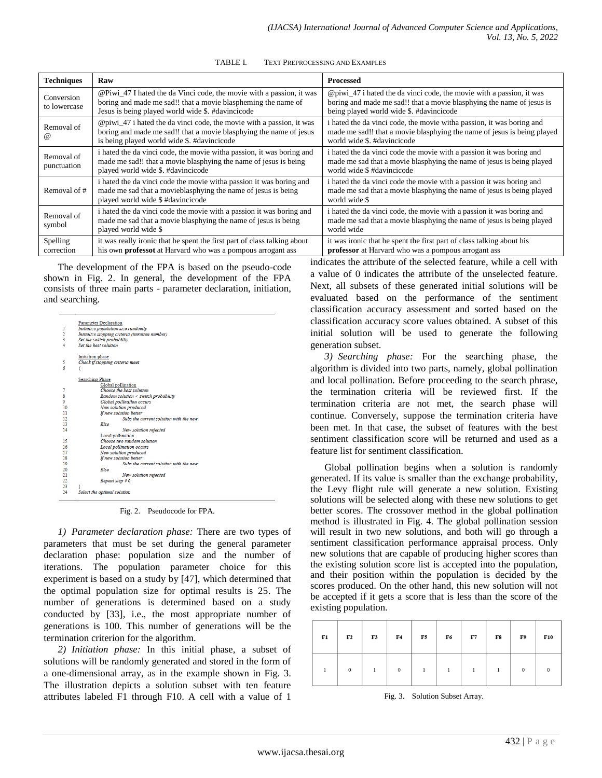| <b>Techniques</b>          | Raw                                                                                                                                                                                        | <b>Processed</b>                                                                                                                                                                          |
|----------------------------|--------------------------------------------------------------------------------------------------------------------------------------------------------------------------------------------|-------------------------------------------------------------------------------------------------------------------------------------------------------------------------------------------|
| Conversion<br>to lowercase | @Piwi_47 I hated the da Vinci code, the movie with a passion, it was<br>boring and made me sad!! that a movie blaspheming the name of<br>Jesus is being played world wide \$. #davincicode | @piwi_47 i hated the da vinci code, the movie with a passion, it was<br>boring and made me sad!! that a movie blasphying the name of jesus is<br>being played world wide \$. #davincicode |
| Removal of<br><b>a</b>     | @piwi_47 i hated the da vinci code, the movie with a passion, it was<br>boring and made me sad!! that a movie blasphying the name of jesus<br>is being played world wide \$. #davincicode  | i hated the da vinci code, the movie with a passion, it was boring and<br>made me sad!! that a movie blasphying the name of jesus is being played<br>world wide \$, #davincicode          |
| Removal of<br>punctuation  | i hated the da vinci code, the movie with a passion, it was boring and<br>made me sad!! that a movie blasphying the name of jesus is being<br>played world wide \$. #davincicode           | i hated the da vinci code the movie with a passion it was boring and<br>made me sad that a movie blasphying the name of jesus is being played<br>world wide \$#davincicode                |
| Removal of #               | i hated the da vinci code the movie witha passion it was boring and<br>made me sad that a movieblasphying the name of jesus is being<br>played world wide \$#davincicode                   | i hated the da vinci code the movie with a passion it was boring and<br>made me sad that a movie blasphying the name of jesus is being played<br>world wide \$                            |
| Removal of<br>symbol       | i hated the da vinci code the movie with a passion it was boring and<br>made me sad that a movie blasphying the name of jesus is being<br>played world wide \$                             | i hated the da vinci code, the movie with a passion it was boring and<br>made me sad that a movie blasphying the name of jesus is being played<br>world wide                              |
| Spelling<br>correction     | it was really ironic that he spent the first part of class talking about<br>his own professot at Harvard who was a pompous arrogant ass                                                    | it was ironic that he spent the first part of class talking about his<br>professor at Harvard who was a pompous arrogant ass                                                              |

TABLE I. TEXT PREPROCESSING AND EXAMPLES

The development of the FPA is based on the pseudo-code shown in Fig. 2. In general, the development of the FPA consists of three main parts - parameter declaration, initiation, and searching.

|               | <b>Parameter Declaration</b>                    |
|---------------|-------------------------------------------------|
| 1             | Initialize population size randomly             |
|               | Initialize stopping criteria (iteration number) |
| $\frac{2}{3}$ | Set the switch probability                      |
| 4             | Set the best solution                           |
|               | Initiation phase                                |
| 5             | Check if stopping criteria meet                 |
| 6             |                                                 |
|               | <b>Searching Phase</b>                          |
|               | Global pollination                              |
| 7             | Choose the best solution                        |
| 8             | Random solution $\leq$ switch probability       |
| ٥             | <b>Global pollination occurs</b>                |
| 10            | New solution produced                           |
| 11            | If new solution better                          |
| 12            | Subs the current solution with the new          |
| 13            | Else                                            |
| 14            | New solution rejected                           |
|               | Local pollination                               |
| 15            | Choose two random solution                      |
| 16            | <b>Local pollination occurs</b>                 |
| 17            | New solution produced                           |
| 18            | If new solution better                          |
| 19            | Subs the current solution with the new          |
| 20            | Else                                            |
| 21            | New solution rejected                           |
| 22            | Repeat step #6                                  |
| 23            |                                                 |
| 24            | Select the optimal solution                     |

#### Fig. 2. Pseudocode for FPA.

*1) Parameter declaration phase:* There are two types of parameters that must be set during the general parameter declaration phase: population size and the number of iterations. The population parameter choice for this experiment is based on a study by [47], which determined that the optimal population size for optimal results is 25. The number of generations is determined based on a study conducted by [33], i.e., the most appropriate number of generations is 100. This number of generations will be the termination criterion for the algorithm.

*2) Initiation phase:* In this initial phase, a subset of solutions will be randomly generated and stored in the form of a one-dimensional array, as in the example shown in Fig. 3. The illustration depicts a solution subset with ten feature attributes labeled F1 through F10. A cell with a value of 1

indicates the attribute of the selected feature, while a cell with a value of 0 indicates the attribute of the unselected feature. Next, all subsets of these generated initial solutions will be evaluated based on the performance of the sentiment classification accuracy assessment and sorted based on the classification accuracy score values obtained. A subset of this initial solution will be used to generate the following generation subset.

*3) Searching phase:* For the searching phase, the algorithm is divided into two parts, namely, global pollination and local pollination. Before proceeding to the search phrase, the termination criteria will be reviewed first. If the termination criteria are not met, the search phase will continue. Conversely, suppose the termination criteria have been met. In that case, the subset of features with the best sentiment classification score will be returned and used as a feature list for sentiment classification.

Global pollination begins when a solution is randomly generated. If its value is smaller than the exchange probability, the Levy flight rule will generate a new solution. Existing solutions will be selected along with these new solutions to get better scores. The crossover method in the global pollination method is illustrated in Fig. 4. The global pollination session will result in two new solutions, and both will go through a sentiment classification performance appraisal process. Only new solutions that are capable of producing higher scores than the existing solution score list is accepted into the population, and their position within the population is decided by the scores produced. On the other hand, this new solution will not be accepted if it gets a score that is less than the score of the existing population.

| ${\bf F1}$ | F <sub>2</sub> | F3 | F4           | F5 | F6 | F7 | ${\bf F8}$ | F9       | <b>F10</b> |
|------------|----------------|----|--------------|----|----|----|------------|----------|------------|
|            | $\mathbf{0}$   |    | $\mathbf{0}$ |    |    |    |            | $\Omega$ |            |

Fig. 3. Solution Subset Array.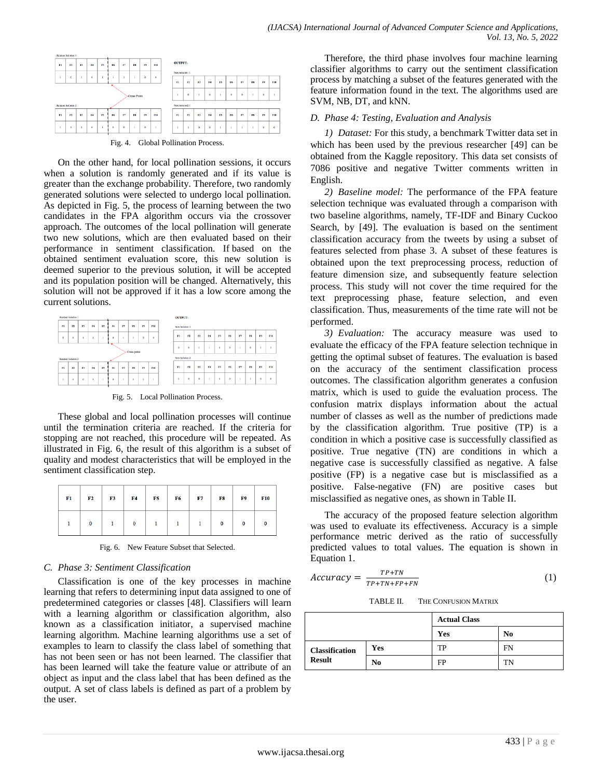

On the other hand, for local pollination sessions, it occurs when a solution is randomly generated and if its value is greater than the exchange probability. Therefore, two randomly generated solutions were selected to undergo local pollination. As depicted in Fig. 5, the process of learning between the two candidates in the FPA algorithm occurs via the crossover approach. The outcomes of the local pollination will generate two new solutions, which are then evaluated based on their performance in sentiment classification. If based on the obtained sentiment evaluation score, this new solution is deemed superior to the previous solution, it will be accepted and its population position will be changed. Alternatively, this solution will not be approved if it has a low score among the current solutions.



Fig. 5. Local Pollination Process.

These global and local pollination processes will continue until the termination criteria are reached. If the criteria for stopping are not reached, this procedure will be repeated. As illustrated in Fig. 6, the result of this algorithm is a subset of quality and modest characteristics that will be employed in the sentiment classification step.

| ${\bf F1}$ | F <sub>2</sub> | <b>F3</b> | F4 | F5 | <b>F6</b> | F7 | F8 | F9 | <b>F10</b> |
|------------|----------------|-----------|----|----|-----------|----|----|----|------------|
|            | $\bf{0}$       |           |    |    |           |    |    |    |            |

Fig. 6. New Feature Subset that Selected.

# *C. Phase 3: Sentiment Classification*

Classification is one of the key processes in machine learning that refers to determining input data assigned to one of predetermined categories or classes [48]. Classifiers will learn with a learning algorithm or classification algorithm, also known as a classification initiator, a supervised machine learning algorithm. Machine learning algorithms use a set of examples to learn to classify the class label of something that has not been seen or has not been learned. The classifier that has been learned will take the feature value or attribute of an object as input and the class label that has been defined as the output. A set of class labels is defined as part of a problem by the user.

Therefore, the third phase involves four machine learning classifier algorithms to carry out the sentiment classification process by matching a subset of the features generated with the feature information found in the text. The algorithms used are SVM, NB, DT, and kNN.

# *D. Phase 4: Testing, Evaluation and Analysis*

*1) Dataset:* For this study, a benchmark Twitter data set in which has been used by the previous researcher [49] can be obtained from the Kaggle repository. This data set consists of 7086 positive and negative Twitter comments written in English.

*2) Baseline model:* The performance of the FPA feature selection technique was evaluated through a comparison with two baseline algorithms, namely, TF-IDF and Binary Cuckoo Search, by [49]. The evaluation is based on the sentiment classification accuracy from the tweets by using a subset of features selected from phase 3. A subset of these features is obtained upon the text preprocessing process, reduction of feature dimension size, and subsequently feature selection process. This study will not cover the time required for the text preprocessing phase, feature selection, and even classification. Thus, measurements of the time rate will not be performed.

*3) Evaluation:* The accuracy measure was used to evaluate the efficacy of the FPA feature selection technique in getting the optimal subset of features. The evaluation is based on the accuracy of the sentiment classification process outcomes. The classification algorithm generates a confusion matrix, which is used to guide the evaluation process. The confusion matrix displays information about the actual number of classes as well as the number of predictions made by the classification algorithm. True positive (TP) is a condition in which a positive case is successfully classified as positive. True negative (TN) are conditions in which a negative case is successfully classified as negative. A false positive (FP) is a negative case but is misclassified as a positive. False-negative (FN) are positive cases but misclassified as negative ones, as shown in Table II.

The accuracy of the proposed feature selection algorithm was used to evaluate its effectiveness. Accuracy is a simple performance metric derived as the ratio of successfully predicted values to total values. The equation is shown in Equation 1.

$$
Accuracy = \frac{TP + TN}{TP + TN + FP + FN} \tag{1}
$$

TABLE II. THE CONFUSION MATRIX

|                       |     | <b>Actual Class</b> |    |  |
|-----------------------|-----|---------------------|----|--|
|                       |     | Yes                 | No |  |
| <b>Classification</b> | Yes | TP                  | FN |  |
| <b>Result</b>         | No  | FP                  | TN |  |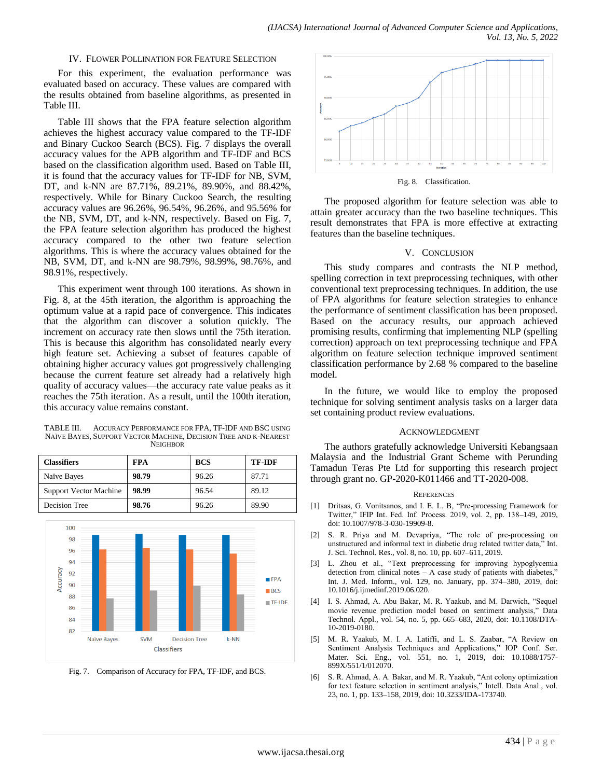#### IV. FLOWER POLLINATION FOR FEATURE SELECTION

For this experiment, the evaluation performance was evaluated based on accuracy. These values are compared with the results obtained from baseline algorithms, as presented in Table III.

Table III shows that the FPA feature selection algorithm achieves the highest accuracy value compared to the TF-IDF and Binary Cuckoo Search (BCS). Fig. 7 displays the overall accuracy values for the APB algorithm and TF-IDF and BCS based on the classification algorithm used. Based on Table III, it is found that the accuracy values for TF-IDF for NB, SVM, DT, and k-NN are 87.71%, 89.21%, 89.90%, and 88.42%, respectively. While for Binary Cuckoo Search, the resulting accuracy values are 96.26%, 96.54%, 96.26%, and 95.56% for the NB, SVM, DT, and k-NN, respectively. Based on Fig. 7, the FPA feature selection algorithm has produced the highest accuracy compared to the other two feature selection algorithms. This is where the accuracy values obtained for the NB, SVM, DT, and k-NN are 98.79%, 98.99%, 98.76%, and 98.91%, respectively.

This experiment went through 100 iterations. As shown in Fig. 8, at the 45th iteration, the algorithm is approaching the optimum value at a rapid pace of convergence. This indicates that the algorithm can discover a solution quickly. The increment on accuracy rate then slows until the 75th iteration. This is because this algorithm has consolidated nearly every high feature set. Achieving a subset of features capable of obtaining higher accuracy values got progressively challenging because the current feature set already had a relatively high quality of accuracy values—the accuracy rate value peaks as it reaches the 75th iteration. As a result, until the 100th iteration, this accuracy value remains constant.

TABLE III. ACCURACY PERFORMANCE FOR FPA, TF-IDF AND BSC USING NAÏVE BAYES, SUPPORT VECTOR MACHINE, DECISION TREE AND K-NEAREST **NEIGHROR** 

| <b>Classifiers</b>            | <b>FPA</b> | <b>BCS</b> | <b>TF-IDF</b> |
|-------------------------------|------------|------------|---------------|
| Naïve Bayes                   | 98.79      | 96.26      | 87.71         |
| <b>Support Vector Machine</b> | 98.99      | 96.54      | 89.12         |
| Decision Tree                 | 98.76      | 96.26      | 89.90         |



Fig. 7. Comparison of Accuracy for FPA, TF-IDF, and BCS.



The proposed algorithm for feature selection was able to attain greater accuracy than the two baseline techniques. This result demonstrates that FPA is more effective at extracting features than the baseline techniques.

#### V. CONCLUSION

This study compares and contrasts the NLP method, spelling correction in text preprocessing techniques, with other conventional text preprocessing techniques. In addition, the use of FPA algorithms for feature selection strategies to enhance the performance of sentiment classification has been proposed. Based on the accuracy results, our approach achieved promising results, confirming that implementing NLP (spelling correction) approach on text preprocessing technique and FPA algorithm on feature selection technique improved sentiment classification performance by 2.68 % compared to the baseline model.

In the future, we would like to employ the proposed technique for solving sentiment analysis tasks on a larger data set containing product review evaluations.

#### ACKNOWLEDGMENT

The authors gratefully acknowledge Universiti Kebangsaan Malaysia and the Industrial Grant Scheme with Perunding Tamadun Teras Pte Ltd for supporting this research project through grant no. GP-2020-K011466 and TT-2020-008.

#### **REFERENCES**

- [1] Dritsas, G. Vonitsanos, and I. E. L. B, "Pre-processing Framework for Twitter," IFIP Int. Fed. Inf. Process. 2019, vol. 2, pp. 138-149, 2019, doi: 10.1007/978-3-030-19909-8.
- [2] S. R. Priya and M. Devapriya, "The role of pre-processing on unstructured and informal text in diabetic drug related twitter data," Int. J. Sci. Technol. Res., vol. 8, no. 10, pp. 607–611, 2019.
- [3] L. Zhou et al., "Text preprocessing for improving hypoglycemia detection from clinical notes  $- A$  case study of patients with diabetes," Int. J. Med. Inform., vol. 129, no. January, pp. 374–380, 2019, doi: 10.1016/j.ijmedinf.2019.06.020.
- [4] I. S. Ahmad, A. Abu Bakar, M. R. Yaakub, and M. Darwich, "Sequel movie revenue prediction model based on sentiment analysis," Data Technol. Appl., vol. 54, no. 5, pp. 665–683, 2020, doi: 10.1108/DTA-10-2019-0180.
- [5] M. R. Yaakub, M. I. A. Latiffi, and L. S. Zaabar, "A Review on Sentiment Analysis Techniques and Applications," IOP Conf. Ser. Mater. Sci. Eng., vol. 551, no. 1, 2019, doi: 10.1088/1757- 899X/551/1/012070.
- [6] S. R. Ahmad, A. A. Bakar, and M. R. Yaakub, "Ant colony optimization for text feature selection in sentiment analysis," Intell. Data Anal., vol. 23, no. 1, pp. 133–158, 2019, doi: 10.3233/IDA-173740.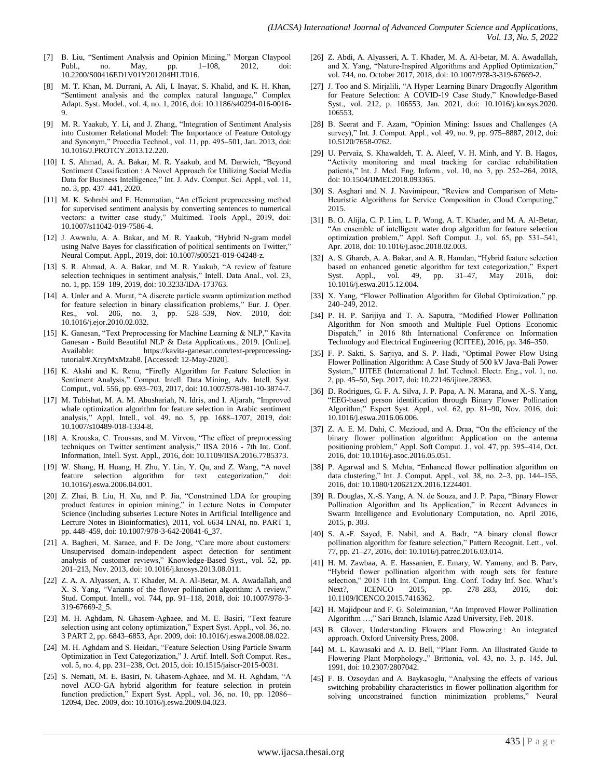- [7] B. Liu, "Sentiment Analysis and Opinion Mining," Morgan Claypool Publ., no. May, pp. 1–108, 2012, doi: 10.2200/S00416ED1V01Y201204HLT016.
- [8] M. T. Khan, M. Durrani, A. Ali, I. Inayat, S. Khalid, and K. H. Khan, "Sentiment analysis and the complex natural language," Complex Adapt. Syst. Model., vol. 4, no. 1, 2016, doi: 10.1186/s40294-016-0016- 9.
- [9] M. R. Yaakub, Y. Li, and J. Zhang, "Integration of Sentiment Analysis into Customer Relational Model: The Importance of Feature Ontology and Synonym," Procedia Technol., vol. 11, pp. 495-501, Jan. 2013, doi: 10.1016/J.PROTCY.2013.12.220.
- [10] I. S. Ahmad, A. A. Bakar, M. R. Yaakub, and M. Darwich, "Beyond Sentiment Classification : A Novel Approach for Utilizing Social Media Data for Business Intelligence," Int. J. Adv. Comput. Sci. Appl., vol. 11, no. 3, pp. 437–441, 2020.
- [11] M. K. Sohrabi and F. Hemmatian, "An efficient preprocessing method for supervised sentiment analysis by converting sentences to numerical vectors: a twitter case study," Multimed. Tools Appl., 2019, doi: 10.1007/s11042-019-7586-4.
- [12] J. Awwalu, A. A. Bakar, and M. R. Yaakub, "Hybrid N-gram model using Naïve Bayes for classification of political sentiments on Twitter," Neural Comput. Appl., 2019, doi: 10.1007/s00521-019-04248-z.
- [13] S. R. Ahmad, A. A. Bakar, and M. R. Yaakub, "A review of feature selection techniques in sentiment analysis," Intell. Data Anal., vol. 23, no. 1, pp. 159–189, 2019, doi: 10.3233/IDA-173763.
- [14] A. Unler and A. Murat, "A discrete particle swarm optimization method for feature selection in binary classification problems," Eur. J. Oper. Res., vol. 206, no. 3, pp. 528–539, Nov. 2010, doi: 10.1016/j.ejor.2010.02.032.
- [15] K. Ganesan, "Text Preprocessing for Machine Learning & NLP," Kavita Ganesan - Build Beautiful NLP & Data Applications., 2019. [Online]. Available: https://kavita-ganesan.com/text-preprocessingtutorial/#.XrcyMxMzab8. [Accessed: 12-May-2020].
- [16] K. Akshi and K. Renu, "Firefly Algorithm for Feature Selection in Sentiment Analysis," Comput. Intell. Data Mining, Adv. Intell. Syst. Comput., vol. 556, pp. 693–703, 2017, doi: 10.1007/978-981-10-3874-7.
- [17] M. Tubishat, M. A. M. Abushariah, N. Idris, and I. Aljarah, "Improved whale optimization algorithm for feature selection in Arabic sentiment analysis," Appl. Intell., vol. 49, no. 5, pp. 1688-1707, 2019, doi: 10.1007/s10489-018-1334-8.
- [18] A. Krouska, C. Troussas, and M. Virvou, "The effect of preprocessing techniques on Twitter sentiment analysis," IISA 2016 - 7th Int. Conf. Information, Intell. Syst. Appl., 2016, doi: 10.1109/IISA.2016.7785373.
- [19] W. Shang, H. Huang, H. Zhu, Y. Lin, Y. Qu, and Z. Wang, "A novel feature selection algorithm for text categorization," doi: 10.1016/j.eswa.2006.04.001.
- [20] Z. Zhai, B. Liu, H. Xu, and P. Jia, "Constrained LDA for grouping product features in opinion mining," in Lecture Notes in Computer Science (including subseries Lecture Notes in Artificial Intelligence and Lecture Notes in Bioinformatics), 2011, vol. 6634 LNAI, no. PART 1, pp. 448–459, doi: 10.1007/978-3-642-20841-6\_37.
- [21] A. Bagheri, M. Saraee, and F. De Jong, "Care more about customers: Unsupervised domain-independent aspect detection for sentiment analysis of customer reviews," Knowledge-Based Syst., vol. 52, pp. 201–213, Nov. 2013, doi: 10.1016/j.knosys.2013.08.011.
- [22] Z. A. A. Alyasseri, A. T. Khader, M. A. Al-Betar, M. A. Awadallah, and X. S. Yang, "Variants of the flower pollination algorithm: A review," Stud. Comput. Intell., vol. 744, pp. 91–118, 2018, doi: 10.1007/978-3- 319-67669-2\_5.
- [23] M. H. Aghdam, N. Ghasem-Aghaee, and M. E. Basiri, "Text feature selection using ant colony optimization," Expert Syst. Appl., vol. 36, no. 3 PART 2, pp. 6843–6853, Apr. 2009, doi: 10.1016/j.eswa.2008.08.022.
- [24] M. H. Aghdam and S. Heidari, "Feature Selection Using Particle Swarm Optimization in Text Categorization," J. Artif. Intell. Soft Comput. Res., vol. 5, no. 4, pp. 231–238, Oct. 2015, doi: 10.1515/jaiscr-2015-0031.
- [25] S. Nemati, M. E. Basiri, N. Ghasem-Aghaee, and M. H. Aghdam, "A novel ACO-GA hybrid algorithm for feature selection in protein function prediction," Expert Syst. Appl., vol. 36, no. 10, pp. 12086– 12094, Dec. 2009, doi: 10.1016/j.eswa.2009.04.023.
- [26] Z. Abdi, A. Alyasseri, A. T. Khader, M. A. Al-betar, M. A. Awadallah, and X. Yang, "Nature-Inspired Algorithms and Applied Optimization," vol. 744, no. October 2017, 2018, doi: 10.1007/978-3-319-67669-2.
- [27] J. Too and S. Mirjalili, "A Hyper Learning Binary Dragonfly Algorithm for Feature Selection: A COVID-19 Case Study," Knowledge-Based Syst., vol. 212, p. 106553, Jan. 2021, doi: 10.1016/j.knosys.2020. 106553.
- [28] B. Seerat and F. Azam, "Opinion Mining: Issues and Challenges (A survey)," Int. J. Comput. Appl., vol. 49, no. 9, pp. 975-8887, 2012, doi: 10.5120/7658-0762.
- [29] U. Pervaiz, S. Khawaldeh, T. A. Aleef, V. H. Minh, and Y. B. Hagos, ―Activity monitoring and meal tracking for cardiac rehabilitation patients," Int. J. Med. Eng. Inform., vol. 10, no. 3, pp. 252-264, 2018, doi: 10.1504/IJMEI.2018.093365.
- [30] S. Asghari and N. J. Navimipour, "Review and Comparison of Meta-Heuristic Algorithms for Service Composition in Cloud Computing," 2015.
- [31] B. O. Alijla, C. P. Lim, L. P. Wong, A. T. Khader, and M. A. Al-Betar, ―An ensemble of intelligent water drop algorithm for feature selection optimization problem,‖ Appl. Soft Comput. J., vol. 65, pp. 531–541, Apr. 2018, doi: 10.1016/j.asoc.2018.02.003.
- [32] A. S. Ghareb, A. A. Bakar, and A. R. Hamdan, "Hybrid feature selection based on enhanced genetic algorithm for text categorization," Expert Syst. Appl., vol. 49, pp. 31–47, May 2016, doi: 10.1016/j.eswa.2015.12.004.
- [33] X. Yang, "Flower Pollination Algorithm for Global Optimization," pp. 240–249, 2012.
- [34] P. H. P. Sarijiya and T. A. Saputra, "Modified Flower Pollination Algorithm for Non smooth and Multiple Fuel Options Economic Dispatch," in 2016 8th International Conference on Information Technology and Electrical Engineering (ICITEE), 2016, pp. 346–350.
- [35] F. P. Sakti, S. Sarjiya, and S. P. Hadi, "Optimal Power Flow Using Flower Pollination Algorithm: A Case Study of 500 kV Java-Bali Power System," IJITEE (International J. Inf. Technol. Electr. Eng., vol. 1, no. 2, pp. 45–50, Sep. 2017, doi: 10.22146/ijitee.28363.
- [36] D. Rodrigues, G. F. A. Silva, J. P. Papa, A. N. Marana, and X.-S. Yang, ―EEG-based person identification through Binary Flower Pollination Algorithm," Expert Syst. Appl., vol. 62, pp. 81-90, Nov. 2016, doi: 10.1016/j.eswa.2016.06.006.
- [37] Z. A. E. M. Dahi, C. Mezioud, and A. Draa, "On the efficiency of the binary flower pollination algorithm: Application on the antenna positioning problem," Appl. Soft Comput. J., vol. 47, pp. 395-414, Oct. 2016, doi: 10.1016/j.asoc.2016.05.051.
- [38] P. Agarwal and S. Mehta, "Enhanced flower pollination algorithm on data clustering," Int. J. Comput. Appl., vol. 38, no. 2-3, pp. 144-155, 2016, doi: 10.1080/1206212X.2016.1224401.
- [39] R. Douglas, X.-S. Yang, A. N. de Souza, and J. P. Papa, "Binary Flower Pollination Algorithm and Its Application," in Recent Advances in Swarm Intelligence and Evolutionary Computation, no. April 2016, 2015, p. 303.
- [40] S. A.-F. Sayed, E. Nabil, and A. Badr, "A binary clonal flower pollination algorithm for feature selection," Pattern Recognit. Lett., vol. 77, pp. 21–27, 2016, doi: 10.1016/j.patrec.2016.03.014.
- [41] H. M. Zawbaa, A. E. Hassanien, E. Emary, W. Yamany, and B. Parv, ―Hybrid flower pollination algorithm with rough sets for feature selection," 2015 11th Int. Comput. Eng. Conf. Today Inf. Soc. What's<br>Next?, ICENCO 2015, pp. 278–283, 2016, doi: Next?, ICENCO 2015, pp. 278-283, 2016, doi: 10.1109/ICENCO.2015.7416362.
- [42] H. Majidpour and F. G. Soleimanian, "An Improved Flower Pollination Algorithm ...," Sari Branch, Islamic Azad University, Feb. 2018.
- [43] B. Glover, Understanding Flowers and Flowering: An integrated approach. Oxford University Press, 2008.
- [44] M. L. Kawasaki and A. D. Bell, "Plant Form. An Illustrated Guide to Flowering Plant Morphology.," Brittonia, vol. 43, no. 3, p. 145, Jul. 1991, doi: 10.2307/2807042.
- [45] F. B. Ozsoydan and A. Baykasoglu, "Analysing the effects of various switching probability characteristics in flower pollination algorithm for solving unconstrained function minimization problems," Neural